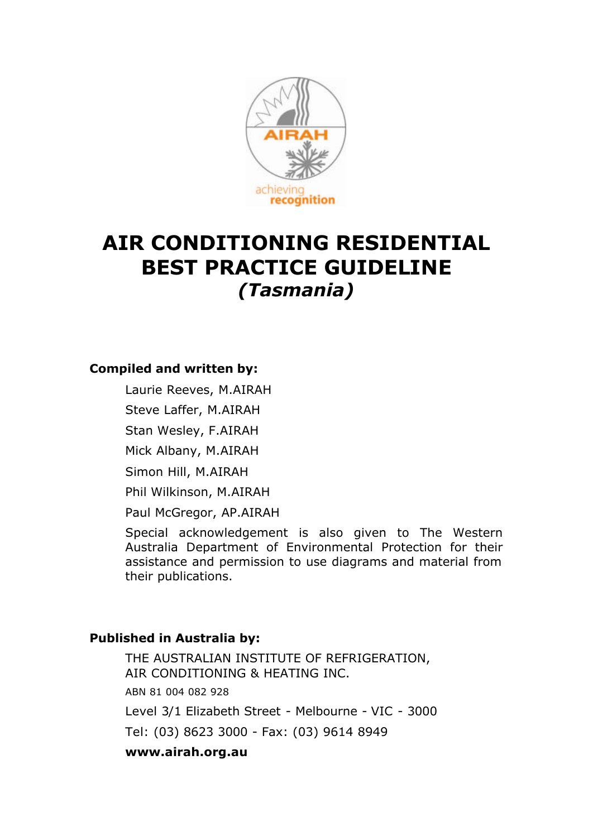

# **AIR CONDITIONING RESIDENTIAL BEST PRACTICE GUIDELINE** *(Tasmania)*

#### **Compiled and written by:**

Laurie Reeves, M.AIRAH

Steve Laffer, M.AIRAH

Stan Wesley, F.AIRAH

Mick Albany, M.AIRAH

Simon Hill, M.AIRAH

Phil Wilkinson, M.AIRAH

Paul McGregor, AP.AIRAH

Special acknowledgement is also given to The Western Australia Department of Environmental Protection for their assistance and permission to use diagrams and material from their publications.

#### **Published in Australia by:**

THE AUSTRALIAN INSTITUTE OF REFRIGERATION, AIR CONDITIONING & HEATING INC. ABN 81 004 082 928 Level 3/1 Elizabeth Street - Melbourne - VIC - 3000 Tel: (03) 8623 3000 - Fax: (03) 9614 8949 **www.airah.org.au**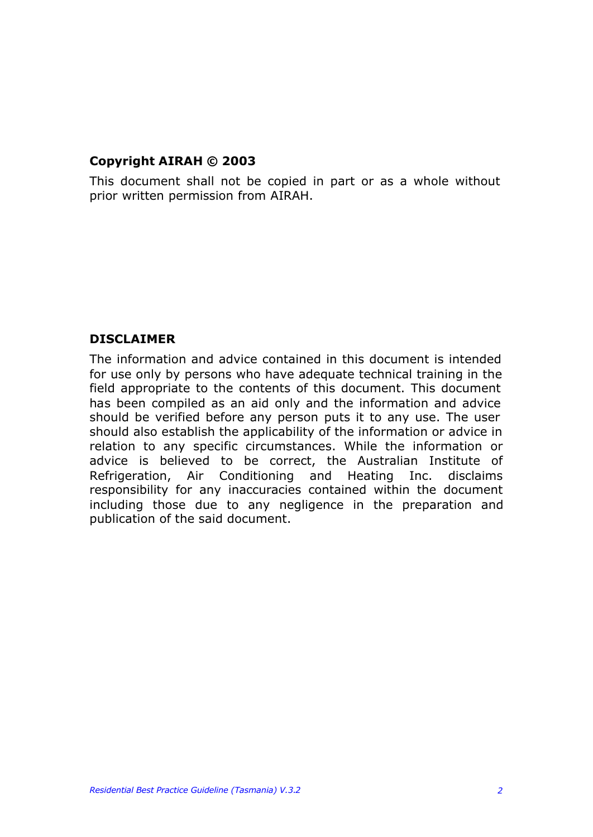### **Copyright AIRAH © 2003**

This document shall not be copied in part or as a whole without prior written permission from AIRAH.

#### **DISCLAIMER**

The information and advice contained in this document is intended for use only by persons who have adequate technical training in the field appropriate to the contents of this document. This document has been compiled as an aid only and the information and advice should be verified before any person puts it to any use. The user should also establish the applicability of the information or advice in relation to any specific circumstances. While the information or advice is believed to be correct, the Australian Institute of Refrigeration, Air Conditioning and Heating Inc. disclaims responsibility for any inaccuracies contained within the document including those due to any negligence in the preparation and publication of the said document.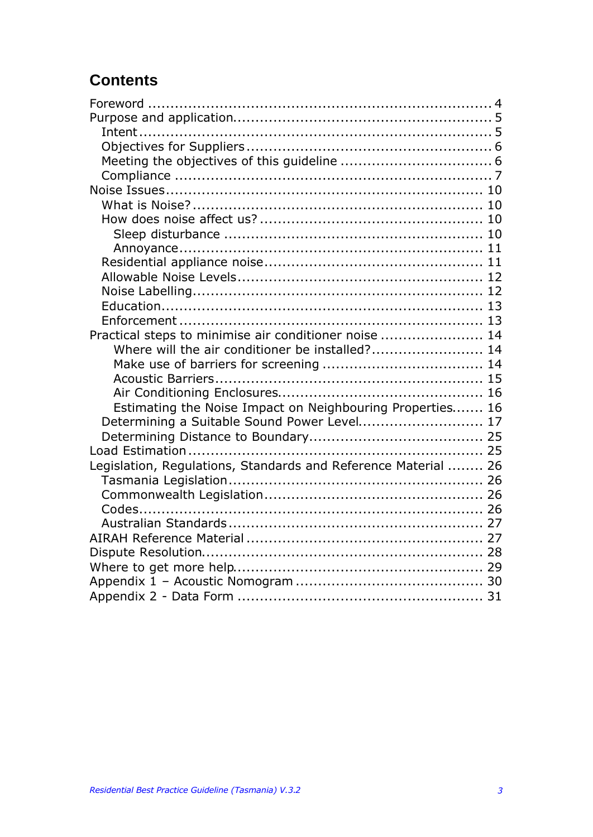# **Contents**

| Practical steps to minimise air conditioner noise  14          |  |
|----------------------------------------------------------------|--|
| Where will the air conditioner be installed? 14                |  |
|                                                                |  |
|                                                                |  |
|                                                                |  |
| Estimating the Noise Impact on Neighbouring Properties 16      |  |
| Determining a Suitable Sound Power Level 17                    |  |
|                                                                |  |
|                                                                |  |
| Legislation, Regulations, Standards and Reference Material  26 |  |
|                                                                |  |
|                                                                |  |
|                                                                |  |
|                                                                |  |
|                                                                |  |
|                                                                |  |
|                                                                |  |
|                                                                |  |
|                                                                |  |
|                                                                |  |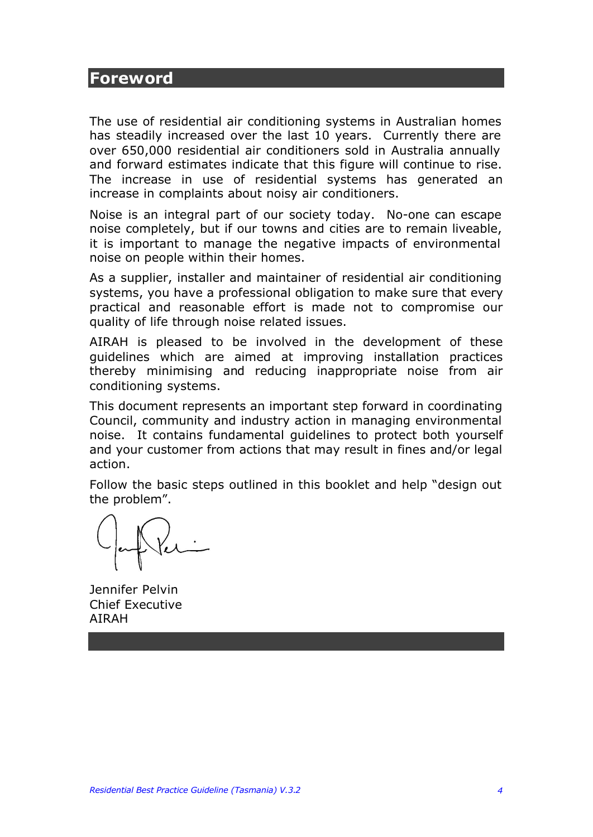### **Foreword**

The use of residential air conditioning systems in Australian homes has steadily increased over the last 10 years. Currently there are over 650,000 residential air conditioners sold in Australia annually and forward estimates indicate that this figure will continue to rise. The increase in use of residential systems has generated an increase in complaints about noisy air conditioners.

Noise is an integral part of our society today. No-one can escape noise completely, but if our towns and cities are to remain liveable, it is important to manage the negative impacts of environmental noise on people within their homes.

As a supplier, installer and maintainer of residential air conditioning systems, you have a professional obligation to make sure that every practical and reasonable effort is made not to compromise our quality of life through noise related issues.

AIRAH is pleased to be involved in the development of these guidelines which are aimed at improving installation practices thereby minimising and reducing inappropriate noise from air conditioning systems.

This document represents an important step forward in coordinating Council, community and industry action in managing environmental noise. It contains fundamental guidelines to protect both yourself and your customer from actions that may result in fines and/or legal action.

Follow the basic steps outlined in this booklet and help "design out the problem".

Jennifer Pelvin Chief Executive AIRAH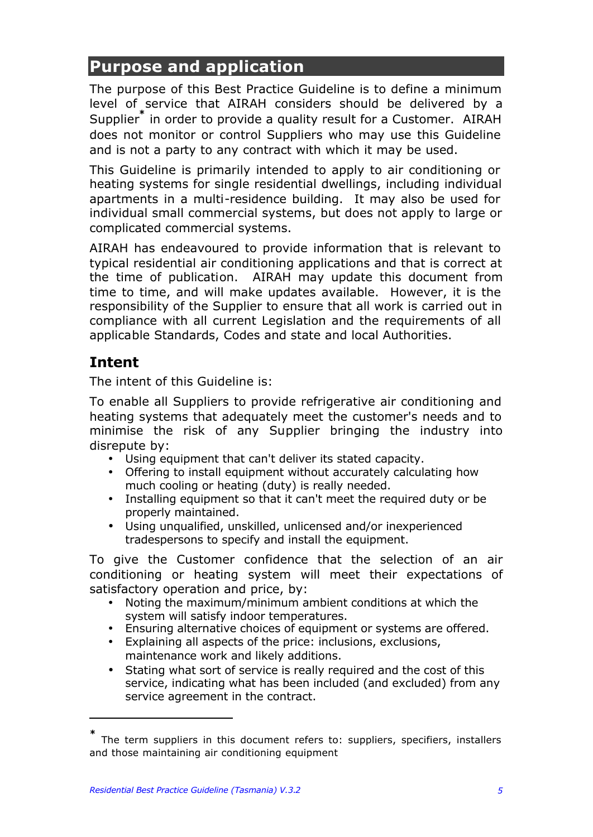# **Purpose and application**

The purpose of this Best Practice Guideline is to define a minimum level of service that AIRAH considers should be delivered by a Supplier**\*** in order to provide a quality result for a Customer. AIRAH does not monitor or control Suppliers who may use this Guideline and is not a party to any contract with which it may be used.

This Guideline is primarily intended to apply to air conditioning or heating systems for single residential dwellings, including individual apartments in a multi-residence building. It may also be used for individual small commercial systems, but does not apply to large or complicated commercial systems.

AIRAH has endeavoured to provide information that is relevant to typical residential air conditioning applications and that is correct at the time of publication. AIRAH may update this document from time to time, and will make updates available. However, it is the responsibility of the Supplier to ensure that all work is carried out in compliance with all current Legislation and the requirements of all applicable Standards, Codes and state and local Authorities.

### **Intent**

 $\overline{a}$ 

The intent of this Guideline is:

To enable all Suppliers to provide refrigerative air conditioning and heating systems that adequately meet the customer's needs and to minimise the risk of any Supplier bringing the industry into disrepute by:

- Using equipment that can't deliver its stated capacity.
- Offering to install equipment without accurately calculating how much cooling or heating (duty) is really needed.
- Installing equipment so that it can't meet the required duty or be properly maintained.
- Using unqualified, unskilled, unlicensed and/or inexperienced tradespersons to specify and install the equipment.

To give the Customer confidence that the selection of an air conditioning or heating system will meet their expectations of satisfactory operation and price, by:

- Noting the maximum/minimum ambient conditions at which the system will satisfy indoor temperatures.
- Ensuring alternative choices of equipment or systems are offered.
- Explaining all aspects of the price: inclusions, exclusions, maintenance work and likely additions.
- Stating what sort of service is really required and the cost of this service, indicating what has been included (and excluded) from any service agreement in the contract.

**<sup>\*</sup>** The term suppliers in this document refers to: suppliers, specifiers, installers and those maintaining air conditioning equipment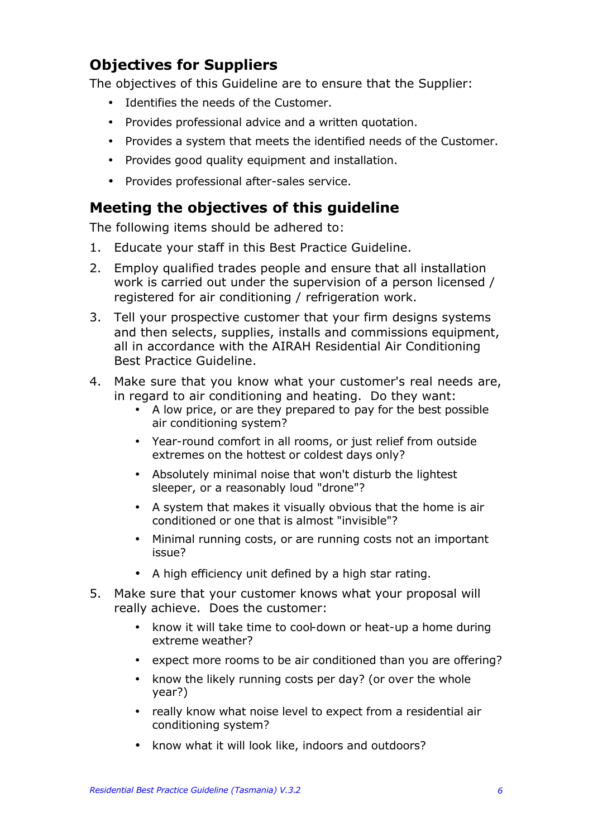### **Objectives for Suppliers**

The objectives of this Guideline are to ensure that the Supplier:

- Identifies the needs of the Customer.
- Provides professional advice and a written quotation.
- Provides a system that meets the identified needs of the Customer.
- Provides good quality equipment and installation.
- Provides professional after-sales service.

### **Meeting the objectives of this guideline**

The following items should be adhered to:

- 1. Educate your staff in this Best Practice Guideline.
- 2. Employ qualified trades people and ensure that all installation work is carried out under the supervision of a person licensed / registered for air conditioning / refrigeration work.
- 3. Tell your prospective customer that your firm designs systems and then selects, supplies, installs and commissions equipment, all in accordance with the AIRAH Residential Air Conditioning Best Practice Guideline.
- 4. Make sure that you know what your customer's real needs are, in regard to air conditioning and heating. Do they want:
	- A low price, or are they prepared to pay for the best possible air conditioning system?
	- Year-round comfort in all rooms, or just relief from outside extremes on the hottest or coldest days only?
	- Absolutely minimal noise that won't disturb the lightest sleeper, or a reasonably loud "drone"?
	- A system that makes it visually obvious that the home is air conditioned or one that is almost "invisible"?
	- Minimal running costs, or are running costs not an important issue?
	- A high efficiency unit defined by a high star rating.
- 5. Make sure that your customer knows what your proposal will really achieve. Does the customer:
	- know it will take time to cool-down or heat-up a home during extreme weather?
	- expect more rooms to be air conditioned than you are offering?
	- know the likely running costs per day? (or over the whole year?)
	- really know what noise level to expect from a residential air conditioning system?
	- know what it will look like, indoors and outdoors?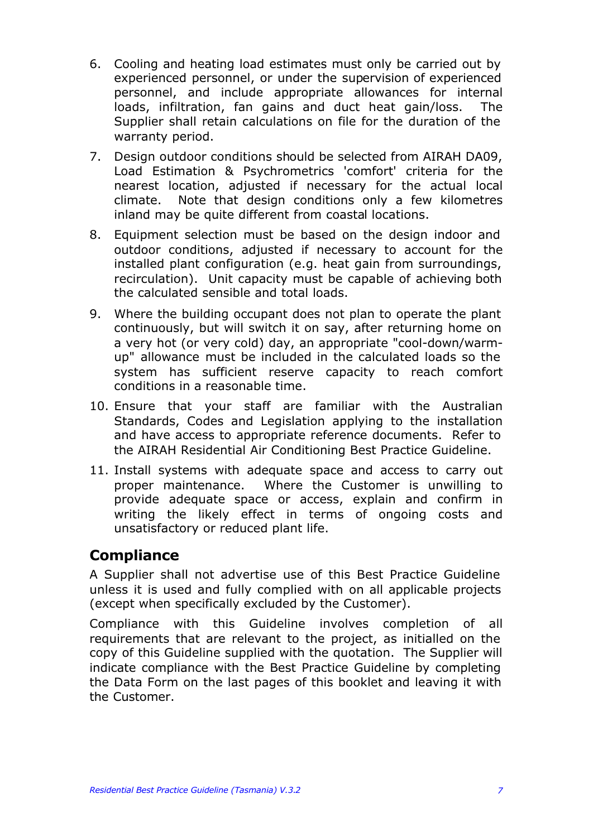- 6. Cooling and heating load estimates must only be carried out by experienced personnel, or under the supervision of experienced personnel, and include appropriate allowances for internal loads, infiltration, fan gains and duct heat gain/loss. The Supplier shall retain calculations on file for the duration of the warranty period.
- 7. Design outdoor conditions should be selected from AIRAH DA09, Load Estimation & Psychrometrics 'comfort' criteria for the nearest location, adjusted if necessary for the actual local climate. Note that design conditions only a few kilometres inland may be quite different from coastal locations.
- 8. Equipment selection must be based on the design indoor and outdoor conditions, adjusted if necessary to account for the installed plant configuration (e.g. heat gain from surroundings, recirculation). Unit capacity must be capable of achieving both the calculated sensible and total loads.
- 9. Where the building occupant does not plan to operate the plant continuously, but will switch it on say, after returning home on a very hot (or very cold) day, an appropriate "cool-down/warmup" allowance must be included in the calculated loads so the system has sufficient reserve capacity to reach comfort conditions in a reasonable time.
- 10. Ensure that your staff are familiar with the Australian Standards, Codes and Legislation applying to the installation and have access to appropriate reference documents. Refer to the AIRAH Residential Air Conditioning Best Practice Guideline.
- 11. Install systems with adequate space and access to carry out proper maintenance. Where the Customer is unwilling to provide adequate space or access, explain and confirm in writing the likely effect in terms of ongoing costs and unsatisfactory or reduced plant life.

### **Compliance**

A Supplier shall not advertise use of this Best Practice Guideline unless it is used and fully complied with on all applicable projects (except when specifically excluded by the Customer).

Compliance with this Guideline involves completion of all requirements that are relevant to the project, as initialled on the copy of this Guideline supplied with the quotation. The Supplier will indicate compliance with the Best Practice Guideline by completing the Data Form on the last pages of this booklet and leaving it with the Customer.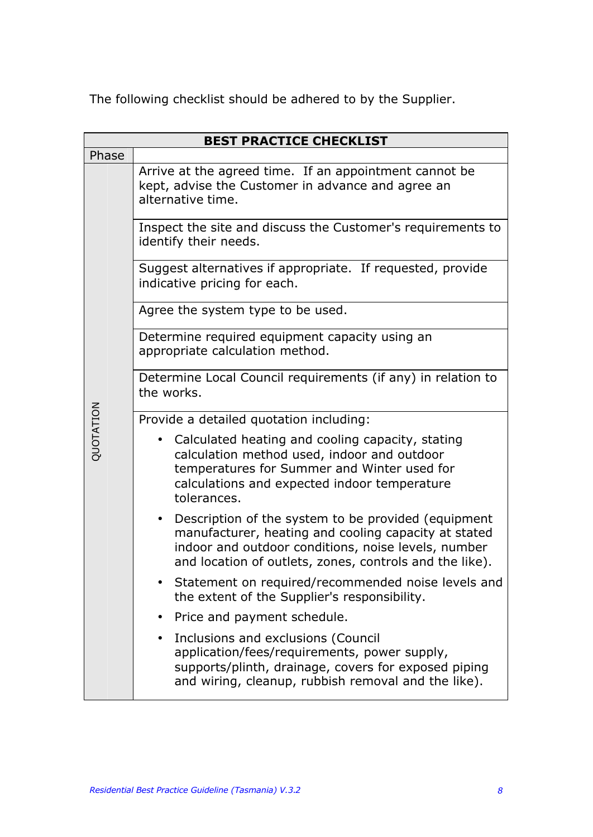The following checklist should be adhered to by the Supplier.

| <b>BEST PRACTICE CHECKLIST</b> |                                                                                                                                                                                                                                            |  |  |  |  |  |  |  |
|--------------------------------|--------------------------------------------------------------------------------------------------------------------------------------------------------------------------------------------------------------------------------------------|--|--|--|--|--|--|--|
| Phase                          |                                                                                                                                                                                                                                            |  |  |  |  |  |  |  |
|                                | Arrive at the agreed time. If an appointment cannot be<br>kept, advise the Customer in advance and agree an<br>alternative time.                                                                                                           |  |  |  |  |  |  |  |
|                                | Inspect the site and discuss the Customer's requirements to<br>identify their needs.                                                                                                                                                       |  |  |  |  |  |  |  |
|                                | Suggest alternatives if appropriate. If requested, provide<br>indicative pricing for each.                                                                                                                                                 |  |  |  |  |  |  |  |
|                                | Agree the system type to be used.                                                                                                                                                                                                          |  |  |  |  |  |  |  |
|                                | Determine required equipment capacity using an<br>appropriate calculation method.                                                                                                                                                          |  |  |  |  |  |  |  |
|                                | Determine Local Council requirements (if any) in relation to<br>the works.                                                                                                                                                                 |  |  |  |  |  |  |  |
|                                | Provide a detailed quotation including:                                                                                                                                                                                                    |  |  |  |  |  |  |  |
| QUOTATION                      | Calculated heating and cooling capacity, stating<br>calculation method used, indoor and outdoor<br>temperatures for Summer and Winter used for<br>calculations and expected indoor temperature<br>tolerances.                              |  |  |  |  |  |  |  |
|                                | Description of the system to be provided (equipment<br>$\bullet$<br>manufacturer, heating and cooling capacity at stated<br>indoor and outdoor conditions, noise levels, number<br>and location of outlets, zones, controls and the like). |  |  |  |  |  |  |  |
|                                | Statement on required/recommended noise levels and<br>the extent of the Supplier's responsibility.                                                                                                                                         |  |  |  |  |  |  |  |
|                                | Price and payment schedule.                                                                                                                                                                                                                |  |  |  |  |  |  |  |
|                                | Inclusions and exclusions (Council<br>application/fees/requirements, power supply,<br>supports/plinth, drainage, covers for exposed piping<br>and wiring, cleanup, rubbish removal and the like).                                          |  |  |  |  |  |  |  |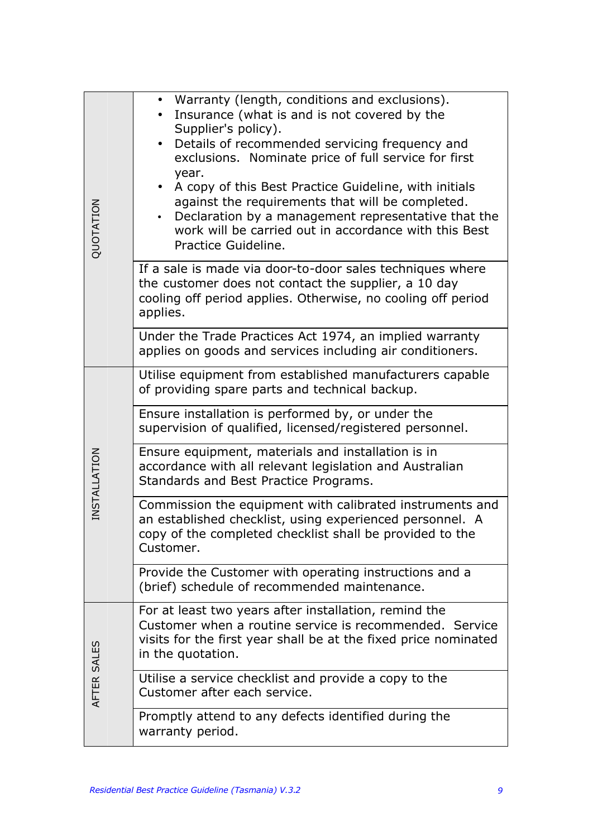| QUOTATION    | Warranty (length, conditions and exclusions).<br>Insurance (what is and is not covered by the<br>Supplier's policy).<br>Details of recommended servicing frequency and<br>exclusions. Nominate price of full service for first<br>year.<br>A copy of this Best Practice Guideline, with initials<br>against the requirements that will be completed.<br>Declaration by a management representative that the<br>work will be carried out in accordance with this Best<br>Practice Guideline. |  |  |  |  |  |
|--------------|---------------------------------------------------------------------------------------------------------------------------------------------------------------------------------------------------------------------------------------------------------------------------------------------------------------------------------------------------------------------------------------------------------------------------------------------------------------------------------------------|--|--|--|--|--|
|              | If a sale is made via door-to-door sales techniques where<br>the customer does not contact the supplier, a 10 day<br>cooling off period applies. Otherwise, no cooling off period<br>applies.                                                                                                                                                                                                                                                                                               |  |  |  |  |  |
|              | Under the Trade Practices Act 1974, an implied warranty<br>applies on goods and services including air conditioners.                                                                                                                                                                                                                                                                                                                                                                        |  |  |  |  |  |
|              | Utilise equipment from established manufacturers capable<br>of providing spare parts and technical backup.                                                                                                                                                                                                                                                                                                                                                                                  |  |  |  |  |  |
|              | Ensure installation is performed by, or under the<br>supervision of qualified, licensed/registered personnel.                                                                                                                                                                                                                                                                                                                                                                               |  |  |  |  |  |
| INSTALLATION | Ensure equipment, materials and installation is in<br>accordance with all relevant legislation and Australian<br>Standards and Best Practice Programs.                                                                                                                                                                                                                                                                                                                                      |  |  |  |  |  |
|              | Commission the equipment with calibrated instruments and<br>an established checklist, using experienced personnel. A<br>copy of the completed checklist shall be provided to the<br>Customer.                                                                                                                                                                                                                                                                                               |  |  |  |  |  |
|              | Provide the Customer with operating instructions and a<br>(brief) schedule of recommended maintenance.                                                                                                                                                                                                                                                                                                                                                                                      |  |  |  |  |  |
|              | For at least two years after installation, remind the<br>Customer when a routine service is recommended. Service<br>visits for the first year shall be at the fixed price nominated<br>in the quotation.                                                                                                                                                                                                                                                                                    |  |  |  |  |  |
| AFTER SALES  | Utilise a service checklist and provide a copy to the<br>Customer after each service.                                                                                                                                                                                                                                                                                                                                                                                                       |  |  |  |  |  |
|              | Promptly attend to any defects identified during the<br>warranty period.                                                                                                                                                                                                                                                                                                                                                                                                                    |  |  |  |  |  |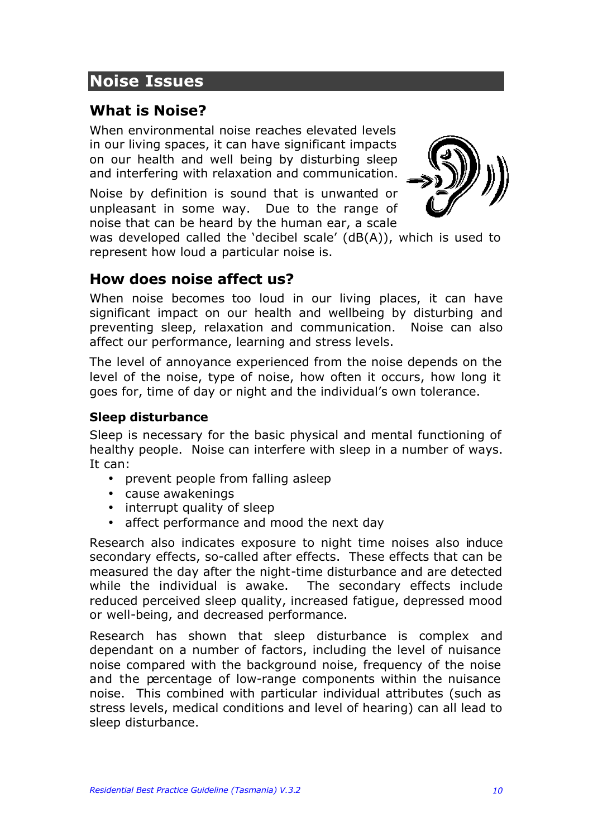# **Noise Issues**

### **What is Noise?**

When environmental noise reaches elevated levels in our living spaces, it can have significant impacts on our health and well being by disturbing sleep and interfering with relaxation and communication.

Noise by definition is sound that is unwanted or unpleasant in some way. Due to the range of noise that can be heard by the human ear, a scale



was developed called the 'decibel scale' (dB(A)), which is used to represent how loud a particular noise is.

### **How does noise affect us?**

When noise becomes too loud in our living places, it can have significant impact on our health and wellbeing by disturbing and preventing sleep, relaxation and communication. Noise can also affect our performance, learning and stress levels.

The level of annoyance experienced from the noise depends on the level of the noise, type of noise, how often it occurs, how long it goes for, time of day or night and the individual's own tolerance.

#### **Sleep disturbance**

Sleep is necessary for the basic physical and mental functioning of healthy people. Noise can interfere with sleep in a number of ways. It can:

- prevent people from falling asleep
- cause awakenings
- interrupt quality of sleep
- affect performance and mood the next day

Research also indicates exposure to night time noises also induce secondary effects, so-called after effects. These effects that can be measured the day after the night-time disturbance and are detected while the individual is awake. The secondary effects include reduced perceived sleep quality, increased fatigue, depressed mood or well-being, and decreased performance.

Research has shown that sleep disturbance is complex and dependant on a number of factors, including the level of nuisance noise compared with the background noise, frequency of the noise and the percentage of low-range components within the nuisance noise. This combined with particular individual attributes (such as stress levels, medical conditions and level of hearing) can all lead to sleep disturbance.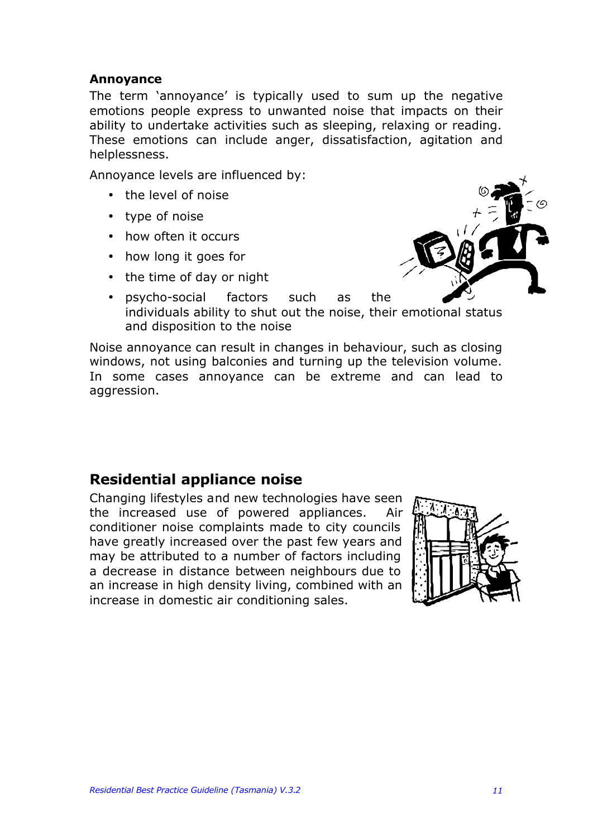#### **Annoyance**

The term 'annoyance' is typically used to sum up the negative emotions people express to unwanted noise that impacts on their ability to undertake activities such as sleeping, relaxing or reading. These emotions can include anger, dissatisfaction, agitation and helplessness.

Annoyance levels are influenced by:

- the level of noise
- type of noise
- how often it occurs
- how long it goes for
- the time of day or night



• psycho-social factors such as the individuals ability to shut out the noise, their emotional status and disposition to the noise

Noise annoyance can result in changes in behaviour, such as closing windows, not using balconies and turning up the television volume. In some cases annoyance can be extreme and can lead to aggression.

### **Residential appliance noise**

Changing lifestyles and new technologies have seen the increased use of powered appliances. Air conditioner noise complaints made to city councils have greatly increased over the past few years and may be attributed to a number of factors including a decrease in distance between neighbours due to an increase in high density living, combined with an increase in domestic air conditioning sales.

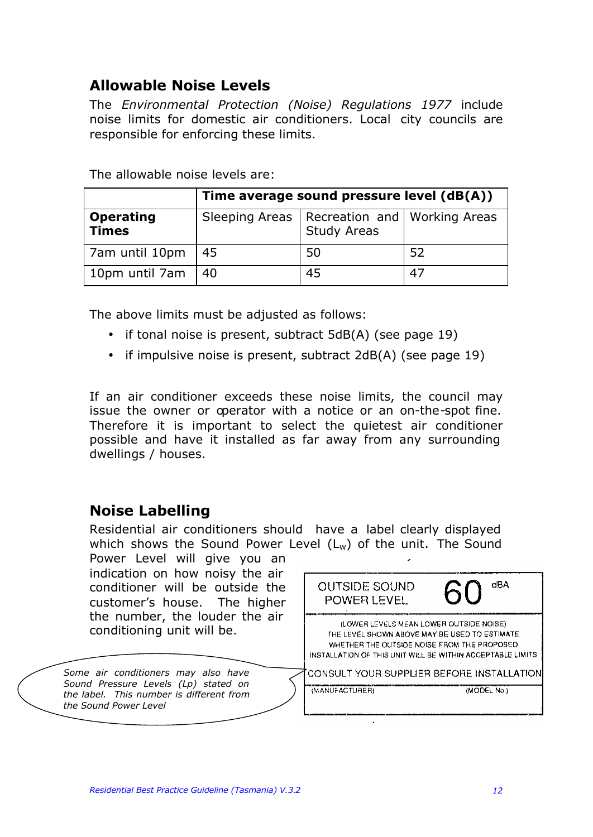### **Allowable Noise Levels**

The *Environmental Protection (Noise) Regulations 1977* include noise limits for domestic air conditioners. Local city councils are responsible for enforcing these limits.

|                                  | Time average sound pressure level (dB(A)) |                                                                       |     |  |
|----------------------------------|-------------------------------------------|-----------------------------------------------------------------------|-----|--|
| <b>Operating</b><br><b>Times</b> |                                           | Sleeping Areas   Recreation and   Working Areas<br><b>Study Areas</b> |     |  |
| 7am until 10pm                   | 45                                        | 50                                                                    | -52 |  |
| 10pm until 7am                   | 40                                        | 45                                                                    | 47  |  |

The allowable noise levels are:

The above limits must be adjusted as follows:

- if tonal noise is present, subtract 5dB(A) (see page 19)
- if impulsive noise is present, subtract 2dB(A) (see page 19)

If an air conditioner exceeds these noise limits, the council may issue the owner or operator with a notice or an on-the-spot fine. Therefore it is important to select the quietest air conditioner possible and have it installed as far away from any surrounding dwellings / houses.

### **Noise Labelling**

Residential air conditioners should have a label clearly displayed which shows the Sound Power Level  $(L_w)$  of the unit. The Sound Power Level will give you an

indication on how noisy the air conditioner will be outside the customer's house. The higher the number, the louder the air conditioning unit will be.

*Some air conditioners may also have Sound Pressure Levels (Lp) stated on the label. This number is different from the Sound Power Level*

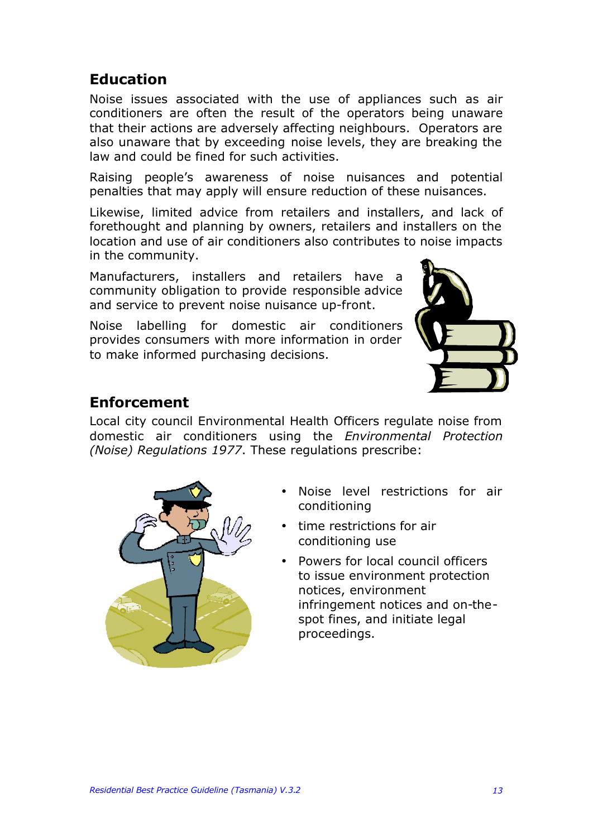**Education**

conditioners are often the result of the operators being unaware that their actions are adversely affecting neighbours. Operators are also unaware that by exceeding noise levels, they are breaking the law and could be fined for such activities.

Noise issues associated with the use of appliances such as air

Raising people's awareness of noise nuisances and potential penalties that may apply will ensure reduction of these nuisances.

Likewise, limited advice from retailers and installers, and lack of forethought and planning by owners, retailers and installers on the location and use of air conditioners also contributes to noise impacts in the community.

Manufacturers, installers and retailers have a community obligation to provide responsible advice and service to prevent noise nuisance up-front.

Noise labelling for domestic air conditioners provides consumers with more information in order to make informed purchasing decisions.



### **Enforcement**

Local city council Environmental Health Officers regulate noise from domestic air conditioners using the *Environmental Protection (Noise) Regulations 1977*. These regulations prescribe:



- Noise level restrictions for air conditioning
- time restrictions for air conditioning use
- Powers for local council officers to issue environment protection notices, environment infringement notices and on-thespot fines, and initiate legal proceedings.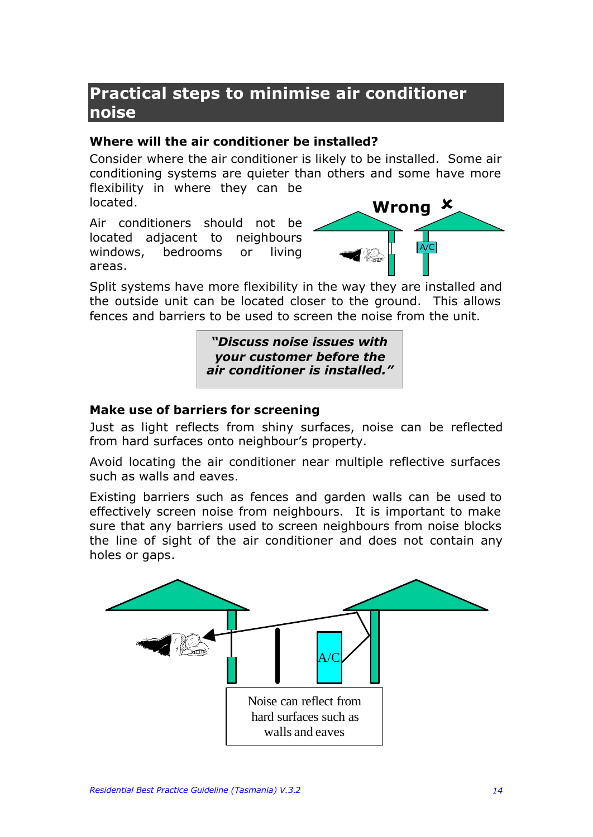# **Practical steps to minimise air conditioner noise**

#### **Where will the air conditioner be installed?**

Consider where the air conditioner is likely to be installed. Some air conditioning systems are quieter than others and some have more flexibility in where they can be located.

Air conditioners should not be located adjacent to neighbours windows, bedrooms or living areas.



Split systems have more flexibility in the way they are installed and the outside unit can be located closer to the ground. This allows fences and barriers to be used to screen the noise from the unit.

> *"Discuss noise issues with your customer before the air conditioner is installed."*

#### **Make use of barriers for screening**

Just as light reflects from shiny surfaces, noise can be reflected from hard surfaces onto neighbour's property.

Avoid locating the air conditioner near multiple reflective surfaces such as walls and eaves.

Existing barriers such as fences and garden walls can be used to effectively screen noise from neighbours. It is important to make sure that any barriers used to screen neighbours from noise blocks the line of sight of the air conditioner and does not contain any holes or gaps.

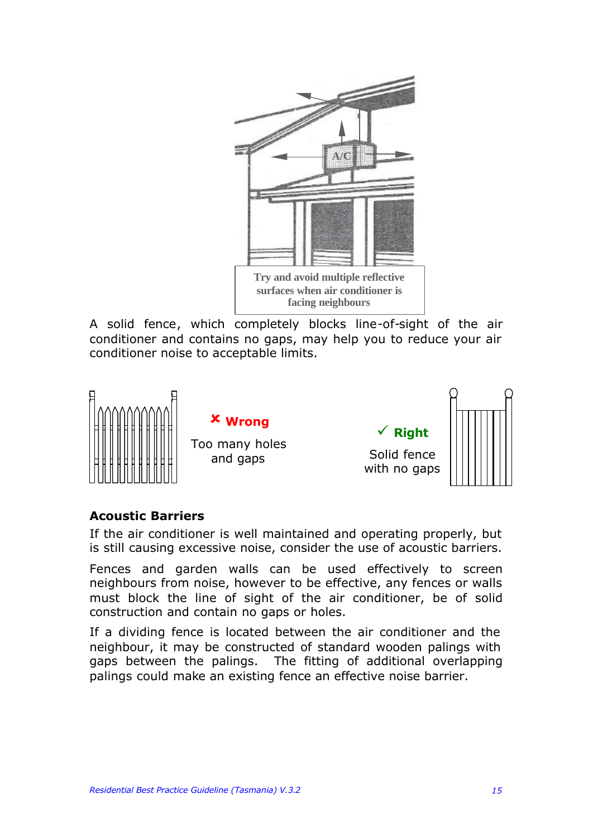

A solid fence, which completely blocks line-of-sight of the air conditioner and contains no gaps, may help you to reduce your air conditioner noise to acceptable limits.



#### **Acoustic Barriers**

If the air conditioner is well maintained and operating properly, but is still causing excessive noise, consider the use of acoustic barriers.

Fences and garden walls can be used effectively to screen neighbours from noise, however to be effective, any fences or walls must block the line of sight of the air conditioner, be of solid construction and contain no gaps or holes.

If a dividing fence is located between the air conditioner and the neighbour, it may be constructed of standard wooden palings with gaps between the palings. The fitting of additional overlapping palings could make an existing fence an effective noise barrier.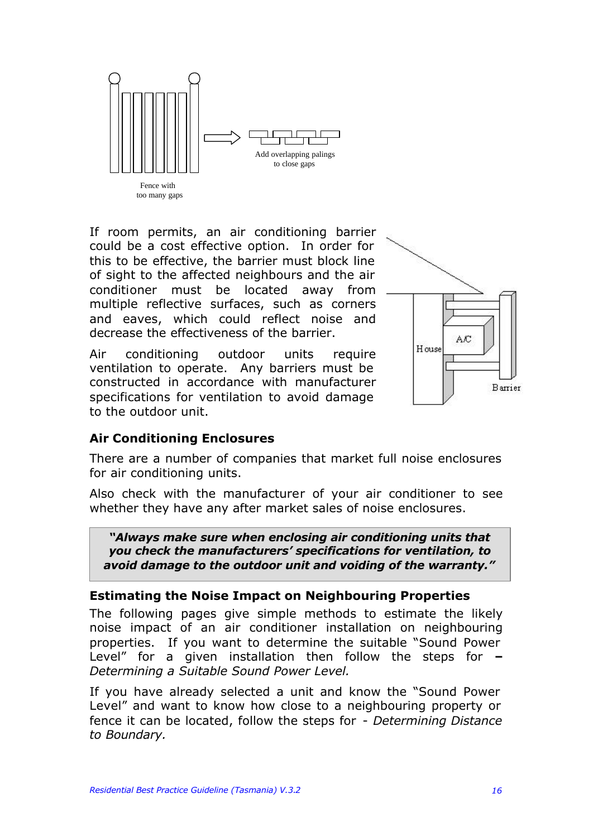

If room permits, an air conditioning barrier could be a cost effective option. In order for this to be effective, the barrier must block line of sight to the affected neighbours and the air conditioner must be located away from multiple reflective surfaces, such as corners and eaves, which could reflect noise and decrease the effectiveness of the barrier.

Air conditioning outdoor units require ventilation to operate. Any barriers must be constructed in accordance with manufacturer specifications for ventilation to avoid damage to the outdoor unit.



#### **Air Conditioning Enclosures**

There are a number of companies that market full noise enclosures for air conditioning units.

Also check with the manufacturer of your air conditioner to see whether they have any after market sales of noise enclosures.

*"Always make sure when enclosing air conditioning units that you check the manufacturers' specifications for ventilation, to avoid damage to the outdoor unit and voiding of the warranty."*

#### **Estimating the Noise Impact on Neighbouring Properties**

The following pages give simple methods to estimate the likely noise impact of an air conditioner installation on neighbouring properties. If you want to determine the suitable "Sound Power Level" for a given installation then follow the steps for **–** *Determining a Suitable Sound Power Level.*

If you have already selected a unit and know the "Sound Power Level" and want to know how close to a neighbouring property or fence it can be located, follow the steps for - *Determining Distance to Boundary.*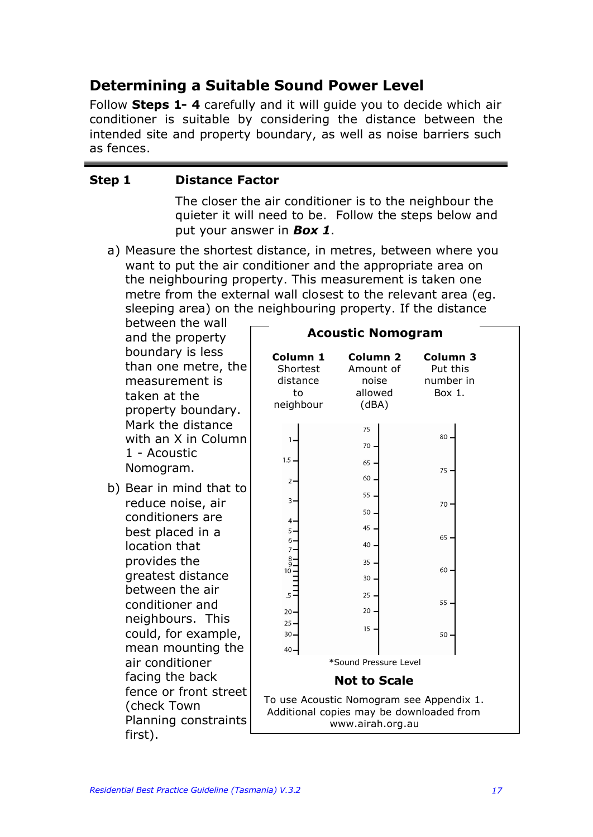### **Determining a Suitable Sound Power Level**

Follow **Steps 1- 4** carefully and it will guide you to decide which air conditioner is suitable by considering the distance between the intended site and property boundary, as well as noise barriers such as fences.

#### **Step 1 Distance Factor**

The closer the air conditioner is to the neighbour the quieter it will need to be. Follow the steps below and put your answer in *Box 1*.

a) Measure the shortest distance, in metres, between where you want to put the air conditioner and the appropriate area on the neighbouring property. This measurement is taken one metre from the external wall closest to the relevant area (eg. sleeping area) on the neighbouring property. If the distance

between the wall and the property boundary is less than one metre, the measurement is taken at the property boundary. Mark the distance with an X in Column 1 - Acoustic Nomogram.

b) Bear in mind that to reduce noise, air conditioners are best placed in a location that provides the greatest distance between the air conditioner and neighbours. This could, for example, mean mounting the air conditioner facing the back fence or front street (check Town Planning constraints first).

|                                                     | <b>Acoustic Nomogram</b>                                                                                 |                                                        |
|-----------------------------------------------------|----------------------------------------------------------------------------------------------------------|--------------------------------------------------------|
| Column 1<br>Shortest<br>distance<br>to<br>neighbour | Column <sub>2</sub><br>Amount of<br>noise<br>allowed<br>(dBA)                                            | Column <sub>3</sub><br>Put this<br>number in<br>Box 1. |
| 1.                                                  | 75<br>70                                                                                                 | 80                                                     |
| 1.5.                                                | 65                                                                                                       |                                                        |
| $2 -$                                               | 60                                                                                                       | 75.                                                    |
| $3 -$                                               | 55                                                                                                       |                                                        |
|                                                     | 50                                                                                                       | $70 -$                                                 |
| 4.<br>5.                                            | 45                                                                                                       | 65                                                     |
| 6.<br>$7 -$                                         | 40                                                                                                       |                                                        |
| $\frac{8}{9}$<br>$10 -$                             | 35                                                                                                       | 60.                                                    |
|                                                     | 30                                                                                                       |                                                        |
| $.5 \cdot$                                          | 25                                                                                                       | 55.                                                    |
| $20 -$<br>25                                        | 20                                                                                                       |                                                        |
| 30.                                                 | 15                                                                                                       | 50.                                                    |
| 40-                                                 | *Sound Pressure Level                                                                                    |                                                        |
|                                                     | <b>Not to Scale</b>                                                                                      |                                                        |
|                                                     | To use Acoustic Nomogram see Appendix 1.<br>Additional copies may be downloaded from<br>www.airah.org.au |                                                        |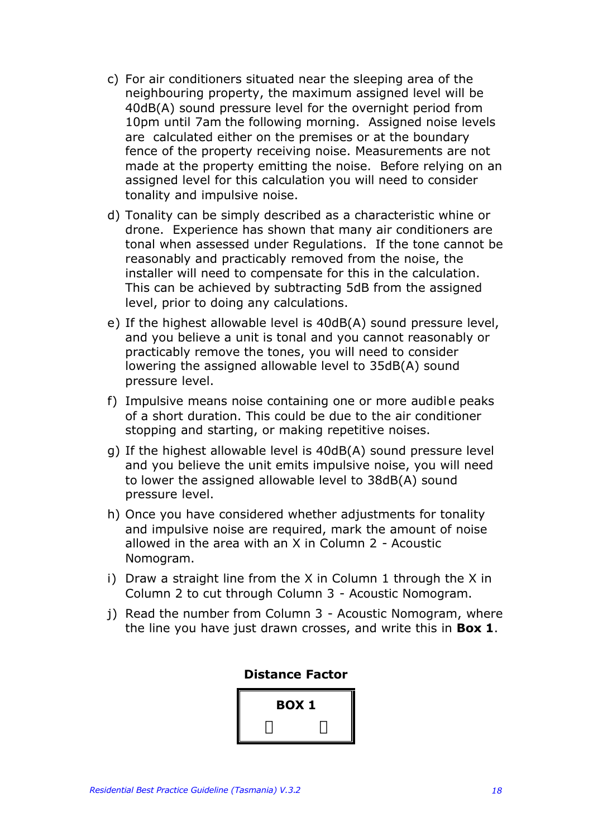- c) For air conditioners situated near the sleeping area of the neighbouring property, the maximum assigned level will be 40dB(A) sound pressure level for the overnight period from 10pm until 7am the following morning. Assigned noise levels are calculated either on the premises or at the boundary fence of the property receiving noise. Measurements are not made at the property emitting the noise. Before relying on an assigned level for this calculation you will need to consider tonality and impulsive noise.
- d) Tonality can be simply described as a characteristic whine or drone. Experience has shown that many air conditioners are tonal when assessed under Regulations. If the tone cannot be reasonably and practicably removed from the noise, the installer will need to compensate for this in the calculation. This can be achieved by subtracting 5dB from the assigned level, prior to doing any calculations.
- e) If the highest allowable level is 40dB(A) sound pressure level, and you believe a unit is tonal and you cannot reasonably or practicably remove the tones, you will need to consider lowering the assigned allowable level to 35dB(A) sound pressure level.
- f) Impulsive means noise containing one or more audible peaks of a short duration. This could be due to the air conditioner stopping and starting, or making repetitive noises.
- g) If the highest allowable level is 40dB(A) sound pressure level and you believe the unit emits impulsive noise, you will need to lower the assigned allowable level to 38dB(A) sound pressure level.
- h) Once you have considered whether adjustments for tonality and impulsive noise are required, mark the amount of noise allowed in the area with an X in Column 2 - Acoustic Nomogram.
- i) Draw a straight line from the X in Column 1 through the X in Column 2 to cut through Column 3 - Acoustic Nomogram.
- j) Read the number from Column 3 Acoustic Nomogram, where the line you have just drawn crosses, and write this in **Box 1**.

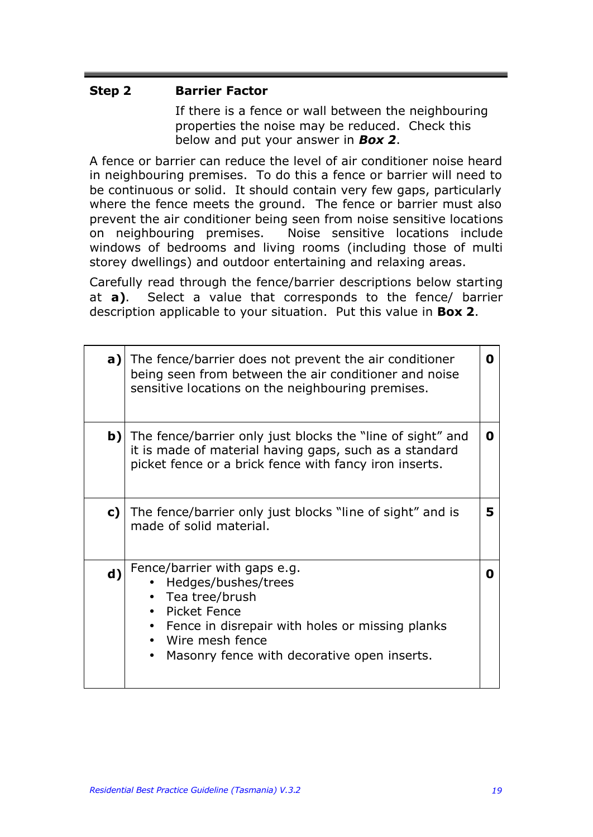#### **Step 2 Barrier Factor**

If there is a fence or wall between the neighbouring properties the noise may be reduced. Check this below and put your answer in *Box 2*.

A fence or barrier can reduce the level of air conditioner noise heard in neighbouring premises. To do this a fence or barrier will need to be continuous or solid. It should contain very few gaps, particularly where the fence meets the ground. The fence or barrier must also prevent the air conditioner being seen from noise sensitive locations on neighbouring premises. Noise sensitive locations include windows of bedrooms and living rooms (including those of multi storey dwellings) and outdoor entertaining and relaxing areas.

Carefully read through the fence/barrier descriptions below starting at **a)**. Select a value that corresponds to the fence/ barrier description applicable to your situation. Put this value in **Box 2**.

| a)           | The fence/barrier does not prevent the air conditioner<br>O<br>being seen from between the air conditioner and noise<br>sensitive locations on the neighbouring premises.                                    |   |  |  |  |  |  |  |  |  |
|--------------|--------------------------------------------------------------------------------------------------------------------------------------------------------------------------------------------------------------|---|--|--|--|--|--|--|--|--|
| $\mathbf{b}$ | The fence/barrier only just blocks the "line of sight" and<br>it is made of material having gaps, such as a standard<br>picket fence or a brick fence with fancy iron inserts.                               | 0 |  |  |  |  |  |  |  |  |
| c)           | The fence/barrier only just blocks "line of sight" and is<br>made of solid material.                                                                                                                         | 5 |  |  |  |  |  |  |  |  |
| $\mathbf{d}$ | Fence/barrier with gaps e.g.<br>Hedges/bushes/trees<br>• Tea tree/brush<br>Picket Fence<br>Fence in disrepair with holes or missing planks<br>Wire mesh fence<br>Masonry fence with decorative open inserts. | O |  |  |  |  |  |  |  |  |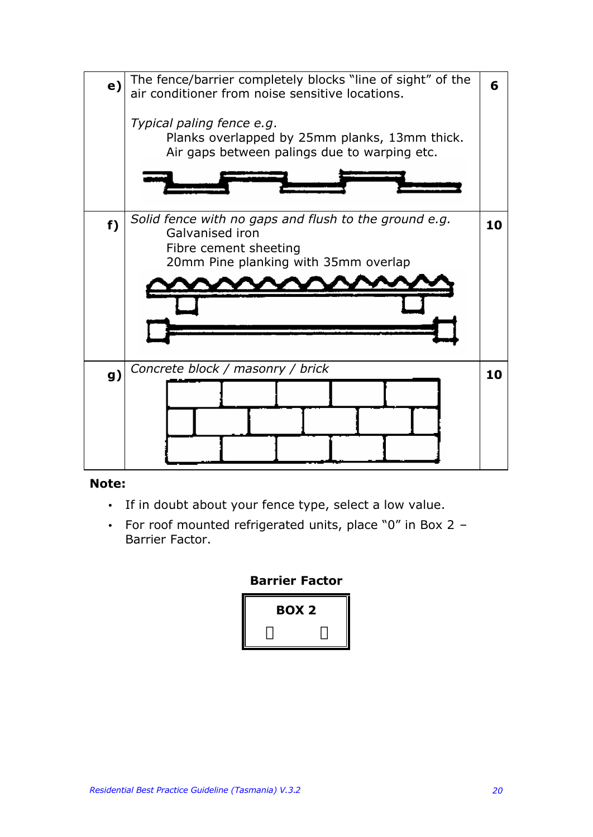

#### **Note:**

- If in doubt about your fence type, select a low value.
- For roof mounted refrigerated units, place "0" in Box 2 Barrier Factor.

#### **Barrier Factor**

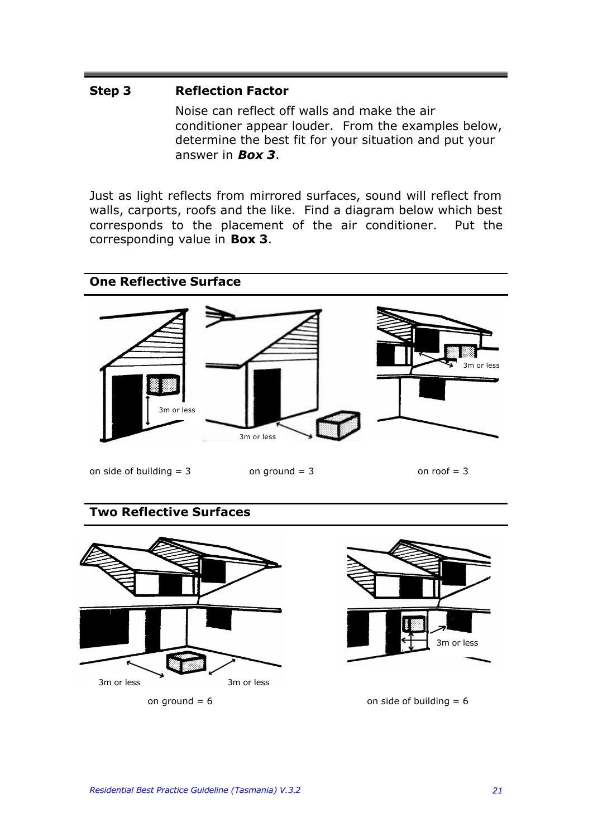#### **Step 3 Reflection Factor**

Noise can reflect off walls and make the air conditioner appear louder. From the examples below, determine the best fit for your situation and put your answer in *Box 3*.

Just as light reflects from mirrored surfaces, sound will reflect from walls, carports, roofs and the like. Find a diagram below which best corresponds to the placement of the air conditioner. Put the corresponding value in **Box 3**.



#### **Two Reflective Surfaces**



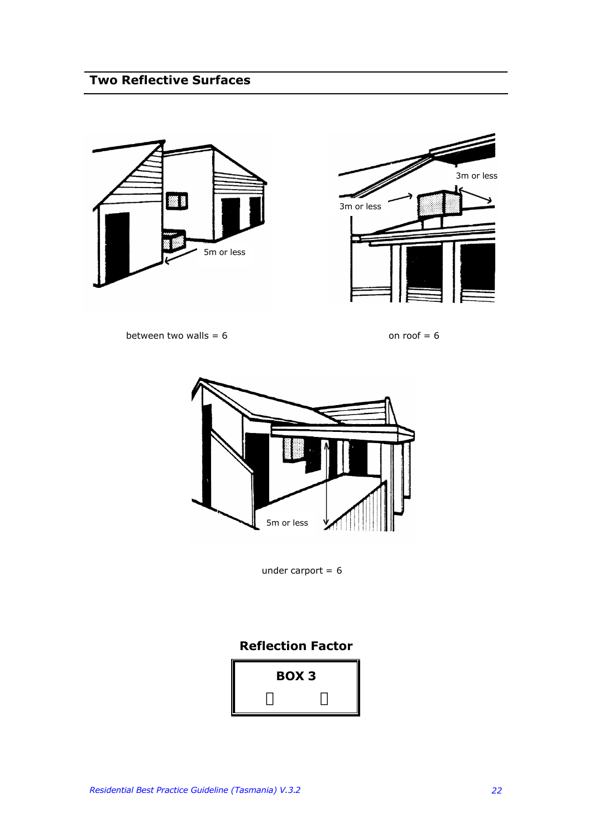### **Two Reflective Surfaces**





between two walls =  $6$  on roof =  $6$ 



under carport  $= 6$ 

#### **Reflection Factor**

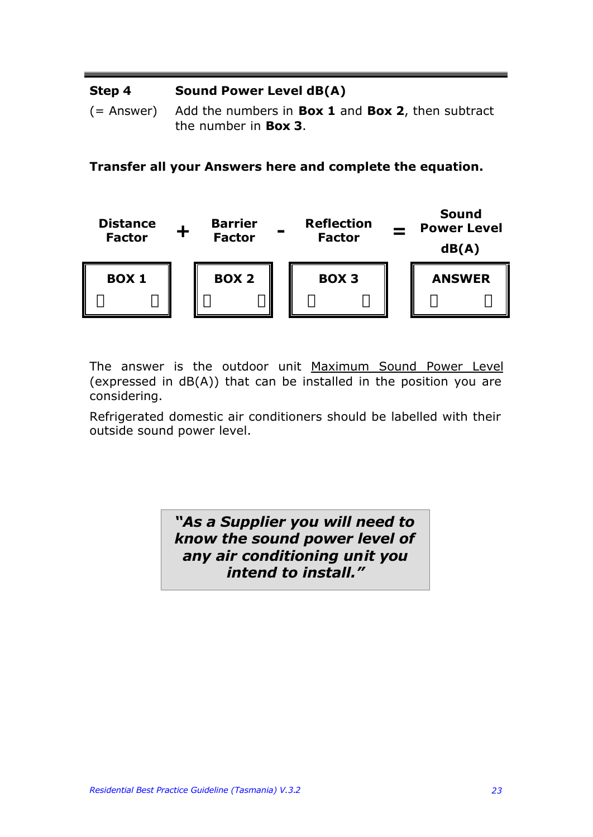#### **Step 4 Sound Power Level dB(A)**

(= Answer) Add the numbers in **Box 1** and **Box 2**, then subtract the number in **Box 3**.

**Transfer all your Answers here and complete the equation.**



The answer is the outdoor unit Maximum Sound Power Level (expressed in dB(A)) that can be installed in the position you are considering.

Refrigerated domestic air conditioners should be labelled with their outside sound power level.

> *"As a Supplier you will need to know the sound power level of any air conditioning unit you intend to install."*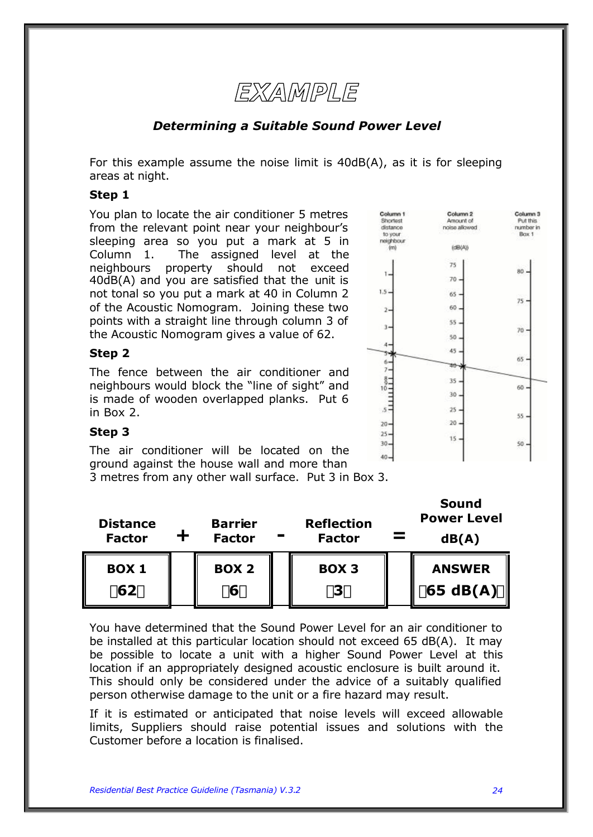

#### *Determining a Suitable Sound Power Level*

For this example assume the noise limit is 40dB(A), as it is for sleeping areas at night.

#### **Step 1**

You plan to locate the air conditioner 5 metres from the relevant point near your neighbour's sleeping area so you put a mark at 5 in Column 1. The assigned level at the neighbours property should not exceed 40dB(A) and you are satisfied that the unit is not tonal so you put a mark at 40 in Column 2 of the Acoustic Nomogram. Joining these two points with a straight line through column 3 of the Acoustic Nomogram gives a value of 62.

#### **Step 2**

The fence between the air conditioner and neighbours would block the "line of sight" and is made of wooden overlapped planks. Put 6 in Box 2.



#### **Step 3**

The air conditioner will be located on the ground against the house wall and more than

3 metres from any other wall surface. Put 3 in Box 3.

| <b>Distance</b><br><b>Factor</b> | <b>Barrier</b><br><b>Factor</b> | <b>Reflection</b><br><b>Factor</b> | <b>Sound</b><br><b>Power Level</b><br>dB(A) |
|----------------------------------|---------------------------------|------------------------------------|---------------------------------------------|
| <b>BOX 1</b><br>162y             | <b>BOX 2</b><br>í6ý             | <b>BOX 3</b><br>í3ý                | <b>ANSWER</b><br>$\ $ í 65 dB(A) $\circ$    |

You have determined that the Sound Power Level for an air conditioner to be installed at this particular location should not exceed 65 dB(A). It may be possible to locate a unit with a higher Sound Power Level at this location if an appropriately designed acoustic enclosure is built around it. This should only be considered under the advice of a suitably qualified person otherwise damage to the unit or a fire hazard may result.

If it is estimated or anticipated that noise levels will exceed allowable limits, Suppliers should raise potential issues and solutions with the Customer before a location is finalised.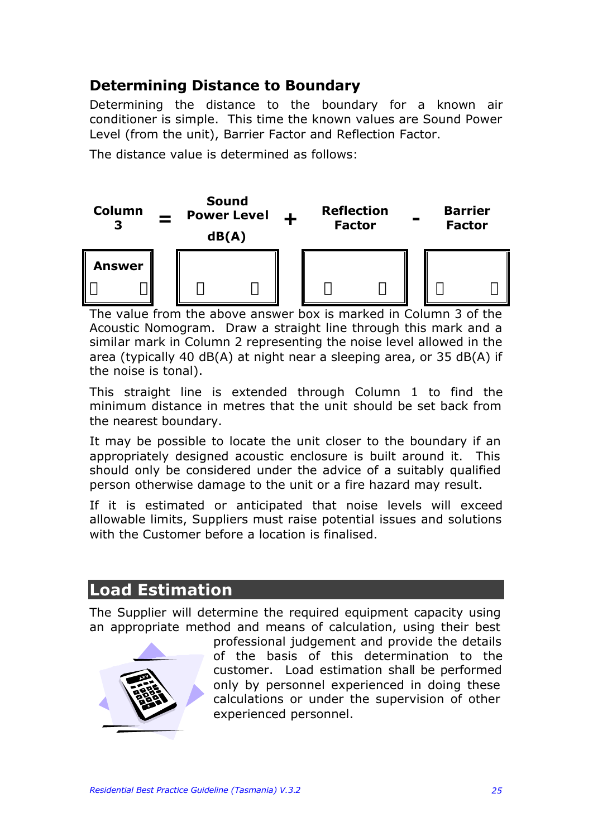### **Determining Distance to Boundary**

Determining the distance to the boundary for a known air conditioner is simple. This time the known values are Sound Power Level (from the unit), Barrier Factor and Reflection Factor.

The distance value is determined as follows:



The value from the above answer box is marked in Column 3 of the Acoustic Nomogram. Draw a straight line through this mark and a similar mark in Column 2 representing the noise level allowed in the area (typically 40 dB(A) at night near a sleeping area, or 35 dB(A) if the noise is tonal).

This straight line is extended through Column 1 to find the minimum distance in metres that the unit should be set back from the nearest boundary.

It may be possible to locate the unit closer to the boundary if an appropriately designed acoustic enclosure is built around it. This should only be considered under the advice of a suitably qualified person otherwise damage to the unit or a fire hazard may result.

If it is estimated or anticipated that noise levels will exceed allowable limits, Suppliers must raise potential issues and solutions with the Customer before a location is finalised.

## **Load Estimation**

The Supplier will determine the required equipment capacity using an appropriate method and means of calculation, using their best



professional judgement and provide the details of the basis of this determination to the customer. Load estimation shall be performed only by personnel experienced in doing these calculations or under the supervision of other experienced personnel.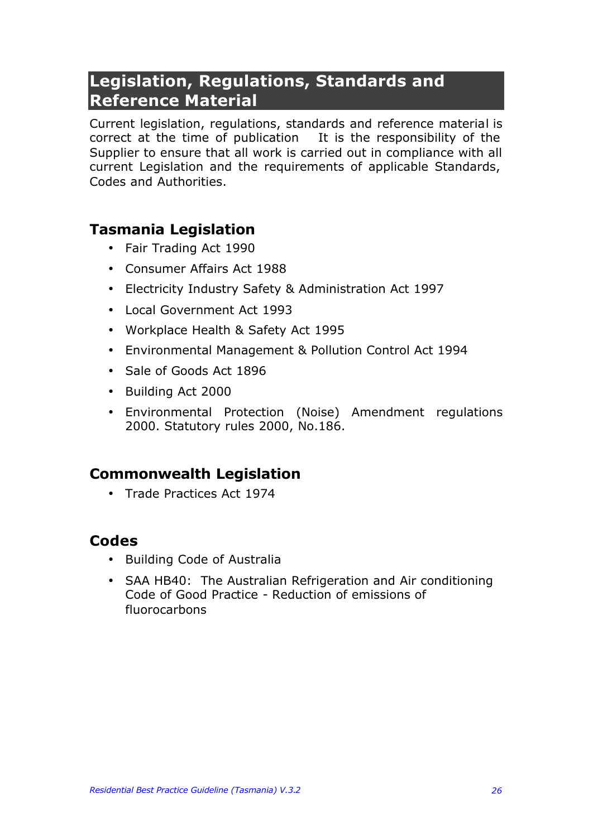# **Legislation, Regulations, Standards and Reference Material**

Current legislation, regulations, standards and reference material is correct at the time of publication It is the responsibility of the Supplier to ensure that all work is carried out in compliance with all current Legislation and the requirements of applicable Standards, Codes and Authorities.

### **Tasmania Legislation**

- Fair Trading Act 1990
- Consumer Affairs Act 1988
- Electricity Industry Safety & Administration Act 1997
- Local Government Act 1993
- Workplace Health & Safety Act 1995
- Environmental Management & Pollution Control Act 1994
- Sale of Goods Act 1896
- Building Act 2000
- Environmental Protection (Noise) Amendment regulations 2000. Statutory rules 2000, No.186.

### **Commonwealth Legislation**

• Trade Practices Act 1974

### **Codes**

- Building Code of Australia
- SAA HB40: The Australian Refrigeration and Air conditioning Code of Good Practice - Reduction of emissions of fluorocarbons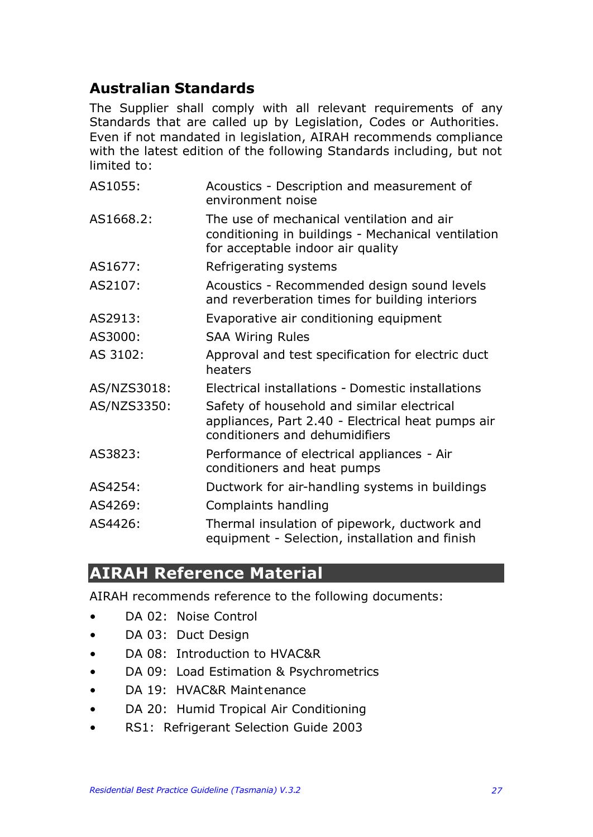### **Australian Standards**

The Supplier shall comply with all relevant requirements of any Standards that are called up by Legislation, Codes or Authorities. Even if not mandated in legislation, AIRAH recommends compliance with the latest edition of the following Standards including, but not limited to:

| AS1055:     | Acoustics - Description and measurement of<br>environment noise                                                                      |
|-------------|--------------------------------------------------------------------------------------------------------------------------------------|
| AS1668.2:   | The use of mechanical ventilation and air<br>conditioning in buildings - Mechanical ventilation<br>for acceptable indoor air quality |
| AS1677:     | Refrigerating systems                                                                                                                |
| AS2107:     | Acoustics - Recommended design sound levels<br>and reverberation times for building interiors                                        |
| AS2913:     | Evaporative air conditioning equipment                                                                                               |
| AS3000:     | <b>SAA Wiring Rules</b>                                                                                                              |
| AS 3102:    | Approval and test specification for electric duct<br>heaters                                                                         |
| AS/NZS3018: | Electrical installations - Domestic installations                                                                                    |
| AS/NZS3350: | Safety of household and similar electrical<br>appliances, Part 2.40 - Electrical heat pumps air<br>conditioners and dehumidifiers    |
| AS3823:     | Performance of electrical appliances - Air<br>conditioners and heat pumps                                                            |
| AS4254:     | Ductwork for air-handling systems in buildings                                                                                       |
| AS4269:     | Complaints handling                                                                                                                  |
| AS4426:     | Thermal insulation of pipework, ductwork and<br>equipment - Selection, installation and finish                                       |

### **AIRAH Reference Material**

AIRAH recommends reference to the following documents:

- DA 02: Noise Control
- DA 03: Duct Design
- DA 08: Introduction to HVAC&R
- DA 09: Load Estimation & Psychrometrics
- DA 19: HVAC&R Maintenance
- DA 20: Humid Tropical Air Conditioning
- RS1: Refrigerant Selection Guide 2003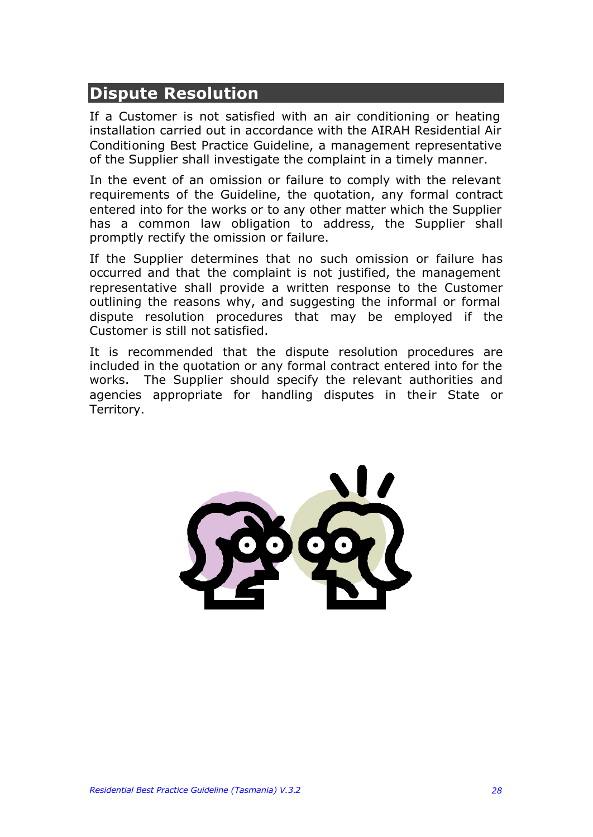### **Dispute Resolution**

If a Customer is not satisfied with an air conditioning or heating installation carried out in accordance with the AIRAH Residential Air Conditioning Best Practice Guideline, a management representative of the Supplier shall investigate the complaint in a timely manner.

In the event of an omission or failure to comply with the relevant requirements of the Guideline, the quotation, any formal contract entered into for the works or to any other matter which the Supplier has a common law obligation to address, the Supplier shall promptly rectify the omission or failure.

If the Supplier determines that no such omission or failure has occurred and that the complaint is not justified, the management representative shall provide a written response to the Customer outlining the reasons why, and suggesting the informal or formal dispute resolution procedures that may be employed if the Customer is still not satisfied.

It is recommended that the dispute resolution procedures are included in the quotation or any formal contract entered into for the works. The Supplier should specify the relevant authorities and agencies appropriate for handling disputes in their State or Territory.

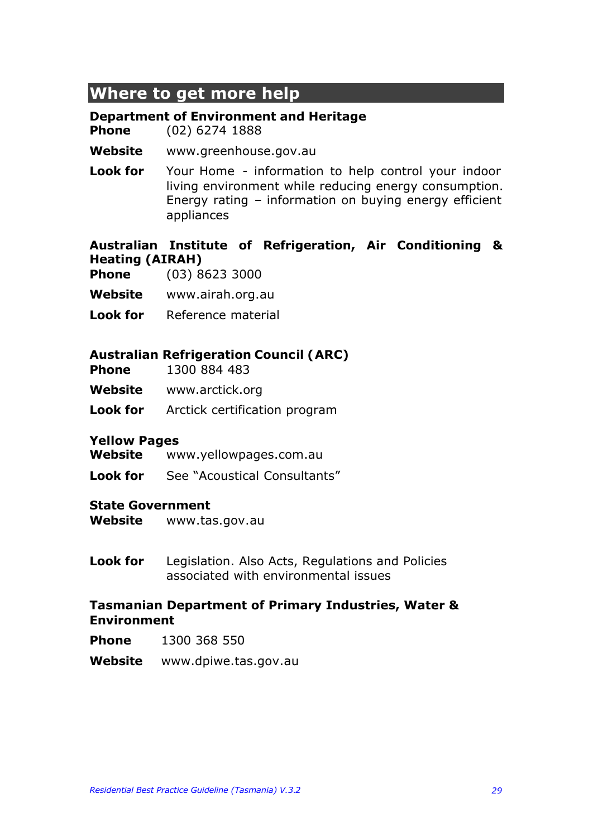## **Where to get more help**

#### **Department of Environment and Heritage**

**Phone** (02) 6274 1888

#### **Website** www.greenhouse.gov.au

**Look for** Your Home - information to help control your indoor living environment while reducing energy consumption. Energy rating – information on buying energy efficient appliances

#### **Australian Institute of Refrigeration, Air Conditioning & Heating (AIRAH)**

- **Phone** (03) 8623 3000
- **Website** www.airah.org.au
- **Look for** Reference material

#### **Australian Refrigeration Council (ARC)**

- **Phone** 1300 884 483
- **Website** www.arctick.org
- **Look for** Arctick certification program

#### **Yellow Pages**

- **Website** www.yellowpages.com.au
- **Look for** See "Acoustical Consultants"

#### **State Government**

- **Website** www.tas.gov.au
- **Look for** Legislation. Also Acts, Regulations and Policies associated with environmental issues

#### **Tasmanian Department of Primary Industries, Water & Environment**

- **Phone** 1300 368 550
- **Website** www.dpiwe.tas.gov.au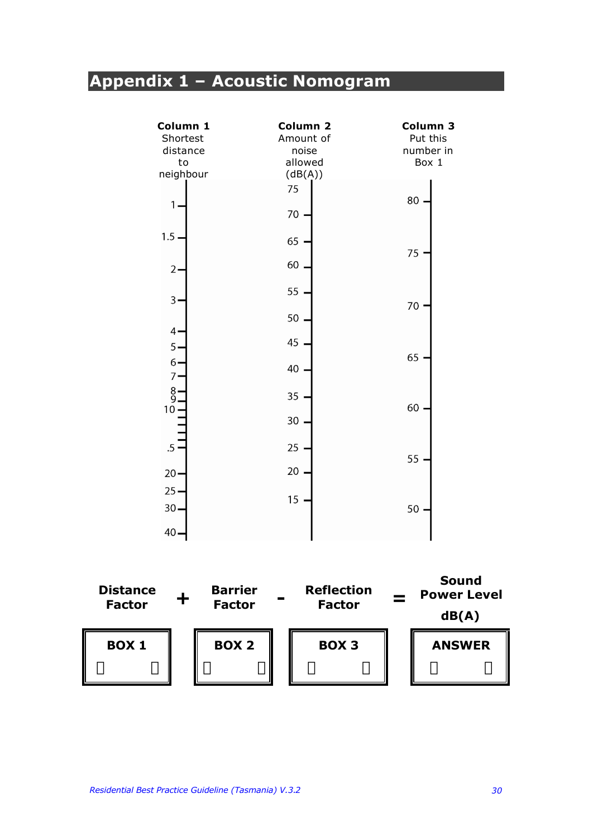# **Appendix 1 – Acoustic Nomogram**

| Column 1       | Column <sub>2</sub> | Column 3           |
|----------------|---------------------|--------------------|
| Shortest       | Amount of           | Put this           |
| distance<br>to | noise<br>allowed    | number in<br>Box 1 |
| neighbour      | (dB(A))             |                    |
|                | 75                  |                    |
|                |                     | 80                 |
| 1              | 70                  |                    |
| $1.5 \cdot$    | 65                  |                    |
|                |                     | 75                 |
| $\mathbf{2}$   | 60                  |                    |
|                | 55                  |                    |
| $\overline{3}$ |                     | 70                 |
|                | 50                  |                    |
| 4.             |                     |                    |
| 5.             | 45                  |                    |
| $6 -$          | 40                  | 65                 |
| $\overline{7}$ |                     |                    |
| $\frac{8}{9}$  | 35                  |                    |
| $10 -$         |                     | 60                 |
|                | 30                  |                    |
|                |                     |                    |
| $.5 -$         | 25                  | 55                 |
| $20 -$         | 20                  |                    |
| $25 -$         |                     |                    |
|                | 15                  |                    |
| $30 -$         |                     | 50                 |
| $40 -$         |                     |                    |

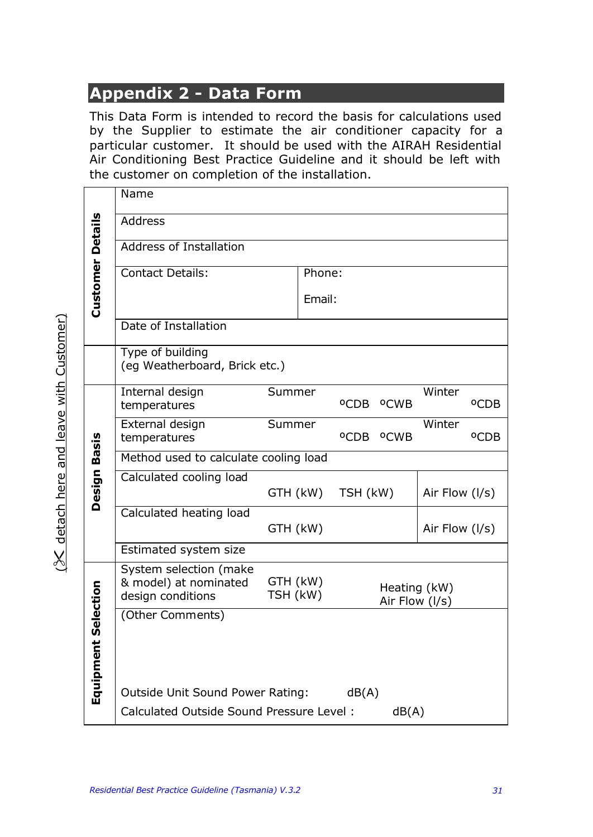# **Appendix 2 - Data Form**

This Data Form is intended to record the basis for calculations used by the Supplier to estimate the air conditioner capacity for a particular customer. It should be used with the AIRAH Residential Air Conditioning Best Practice Guideline and it should be left with the customer on completion of the installation.

|                        |                         | Name                                                                                                                           |          |        |          |                                   |                |                  |  |  |  |
|------------------------|-------------------------|--------------------------------------------------------------------------------------------------------------------------------|----------|--------|----------|-----------------------------------|----------------|------------------|--|--|--|
|                        |                         | <b>Address</b>                                                                                                                 |          |        |          |                                   |                |                  |  |  |  |
|                        |                         | <b>Address of Installation</b>                                                                                                 |          |        |          |                                   |                |                  |  |  |  |
|                        |                         | <b>Contact Details:</b>                                                                                                        |          | Phone: |          |                                   |                |                  |  |  |  |
|                        | <b>Customer Details</b> |                                                                                                                                |          | Email: |          |                                   |                |                  |  |  |  |
|                        |                         | Date of Installation                                                                                                           |          |        |          |                                   |                |                  |  |  |  |
|                        |                         | Type of building<br>(eg Weatherboard, Brick etc.)                                                                              |          |        |          |                                   |                |                  |  |  |  |
|                        |                         | Internal design<br>temperatures                                                                                                | Summer   |        |          | <sup>O</sup> CDB <sup>O</sup> CWB | Winter         | <sup>o</sup> CDB |  |  |  |
|                        |                         | External design<br>temperatures                                                                                                | Summer   |        |          | <sup>O</sup> CDB <sup>O</sup> CWB | Winter         | <sup>o</sup> CDB |  |  |  |
|                        | Basis                   | Method used to calculate cooling load                                                                                          |          |        |          |                                   |                |                  |  |  |  |
|                        | Design                  | Calculated cooling load                                                                                                        | GTH (kW) |        | TSH (kW) |                                   | Air Flow (I/s) |                  |  |  |  |
|                        |                         | Calculated heating load                                                                                                        | GTH (kW) |        |          |                                   | Air Flow (I/s) |                  |  |  |  |
|                        |                         | Estimated system size                                                                                                          |          |        |          |                                   |                |                  |  |  |  |
|                        |                         | System selection (make<br>& model) at nominated<br>GTH (kW)<br>Heating (kW)<br>TSH (kW)<br>design conditions<br>Air Flow (I/s) |          |        |          |                                   |                |                  |  |  |  |
| Selection<br>Equipment |                         | (Other Comments)                                                                                                               |          |        |          |                                   |                |                  |  |  |  |
|                        |                         | Outside Unit Sound Power Rating:                                                                                               |          |        | dB(A)    |                                   |                |                  |  |  |  |
|                        |                         | Calculated Outside Sound Pressure Level:<br>dB(A)                                                                              |          |        |          |                                   |                |                  |  |  |  |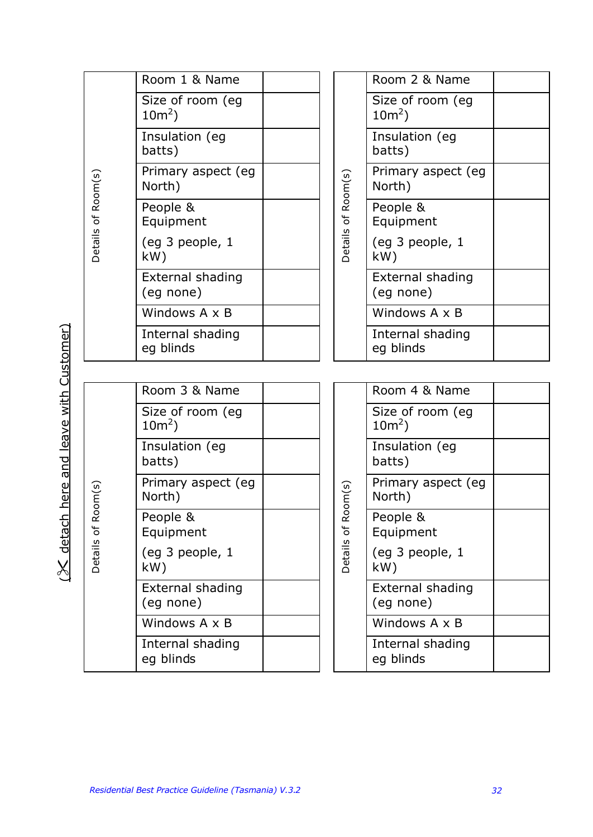|  |                            | Room 1 & Name                 |  |                    | Room 2 & Name                 |  |
|--|----------------------------|-------------------------------|--|--------------------|-------------------------------|--|
|  |                            | Size of room (eg<br>$10m^2$ ) |  |                    | Size of room (eg<br>$10m^2$ ) |  |
|  |                            | Insulation (eg<br>batts)      |  |                    | Insulation (eg<br>batts)      |  |
|  |                            | Primary aspect (eg<br>North)  |  |                    | Primary aspect (eg<br>North)  |  |
|  | Details of Room(s)         | People &<br>Equipment         |  | Details of Room(s) | People &<br>Equipment         |  |
|  |                            | (eg 3 people, 1<br>kW)        |  |                    | (eg 3 people, 1<br>kW)        |  |
|  |                            | External shading<br>(eg none) |  |                    | External shading<br>(eg none) |  |
|  |                            | Windows A x B                 |  |                    | Windows A x B                 |  |
|  |                            | Internal shading<br>eg blinds |  |                    | Internal shading<br>eg blinds |  |
|  |                            |                               |  |                    |                               |  |
|  |                            | Room 3 & Name                 |  |                    | Room 4 & Name                 |  |
|  |                            | Size of room (eg<br>$10m^2$ ) |  |                    | Size of room (eg<br>$10m^2$ ) |  |
|  |                            | Insulation (eg<br>batts)      |  |                    | Insulation (eg<br>batts)      |  |
|  | $\mathsf{oom}(\mathsf{s})$ | Primary aspect (eg<br>North)  |  | oom(s)             | Primary aspect (eg<br>North)  |  |
|  | ∝<br>$\mathfrak{b}$        | People &<br>Equipment         |  | ≃<br>Ъ             | People &<br>Equipment         |  |
|  | Details                    | (eg 3 people, 1<br>kW)        |  | <b>Details</b>     | (eg 3 people, 1<br>kW)        |  |
|  |                            | External shading<br>(eg none) |  |                    | External shading<br>(eg none) |  |
|  |                            | Windows A x B                 |  |                    | Windows $A \times B$          |  |
|  |                            | Internal shading<br>eg blinds |  |                    | Internal shading<br>eg blinds |  |

(% detach here and leave with Customer)  $(X$  detach here and leave with Customer)